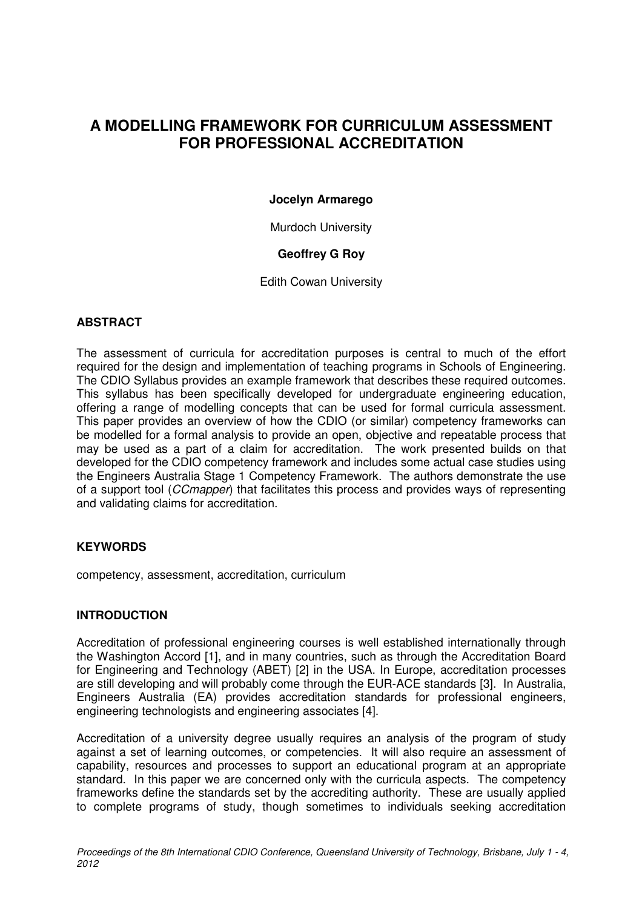# **A MODELLING FRAMEWORK FOR CURRICULUM ASSESSMENT FOR PROFESSIONAL ACCREDITATION**

#### **Jocelyn Armarego**

Murdoch University

# **Geoffrey G Roy**

Edith Cowan University

### **ABSTRACT**

The assessment of curricula for accreditation purposes is central to much of the effort required for the design and implementation of teaching programs in Schools of Engineering. The CDIO Syllabus provides an example framework that describes these required outcomes. This syllabus has been specifically developed for undergraduate engineering education, offering a range of modelling concepts that can be used for formal curricula assessment. This paper provides an overview of how the CDIO (or similar) competency frameworks can be modelled for a formal analysis to provide an open, objective and repeatable process that may be used as a part of a claim for accreditation. The work presented builds on that developed for the CDIO competency framework and includes some actual case studies using the Engineers Australia Stage 1 Competency Framework. The authors demonstrate the use of a support tool (CCmapper) that facilitates this process and provides ways of representing and validating claims for accreditation.

### **KEYWORDS**

competency, assessment, accreditation, curriculum

### **INTRODUCTION**

Accreditation of professional engineering courses is well established internationally through the Washington Accord [1], and in many countries, such as through the Accreditation Board for Engineering and Technology (ABET) [2] in the USA. In Europe, accreditation processes are still developing and will probably come through the EUR-ACE standards [3]. In Australia, Engineers Australia (EA) provides accreditation standards for professional engineers, engineering technologists and engineering associates [4].

Accreditation of a university degree usually requires an analysis of the program of study against a set of learning outcomes, or competencies. It will also require an assessment of capability, resources and processes to support an educational program at an appropriate standard. In this paper we are concerned only with the curricula aspects. The competency frameworks define the standards set by the accrediting authority. These are usually applied to complete programs of study, though sometimes to individuals seeking accreditation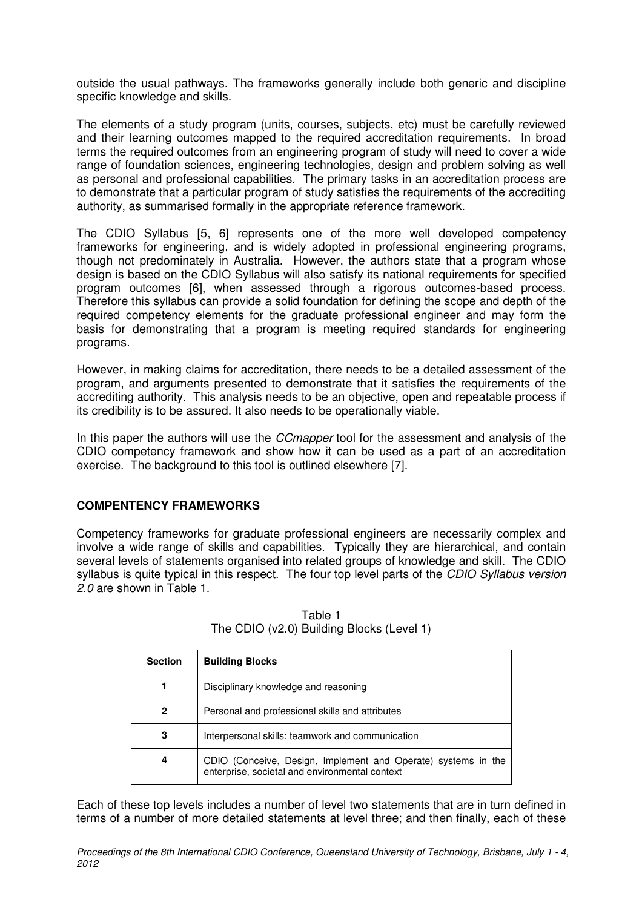outside the usual pathways. The frameworks generally include both generic and discipline specific knowledge and skills.

The elements of a study program (units, courses, subjects, etc) must be carefully reviewed and their learning outcomes mapped to the required accreditation requirements. In broad terms the required outcomes from an engineering program of study will need to cover a wide range of foundation sciences, engineering technologies, design and problem solving as well as personal and professional capabilities. The primary tasks in an accreditation process are to demonstrate that a particular program of study satisfies the requirements of the accrediting authority, as summarised formally in the appropriate reference framework.

The CDIO Syllabus [5, 6] represents one of the more well developed competency frameworks for engineering, and is widely adopted in professional engineering programs, though not predominately in Australia. However, the authors state that a program whose design is based on the CDIO Syllabus will also satisfy its national requirements for specified program outcomes [6], when assessed through a rigorous outcomes-based process. Therefore this syllabus can provide a solid foundation for defining the scope and depth of the required competency elements for the graduate professional engineer and may form the basis for demonstrating that a program is meeting required standards for engineering programs.

However, in making claims for accreditation, there needs to be a detailed assessment of the program, and arguments presented to demonstrate that it satisfies the requirements of the accrediting authority. This analysis needs to be an objective, open and repeatable process if its credibility is to be assured. It also needs to be operationally viable.

In this paper the authors will use the *CCmapper* tool for the assessment and analysis of the CDIO competency framework and show how it can be used as a part of an accreditation exercise. The background to this tool is outlined elsewhere [7].

# **COMPENTENCY FRAMEWORKS**

Competency frameworks for graduate professional engineers are necessarily complex and involve a wide range of skills and capabilities. Typically they are hierarchical, and contain several levels of statements organised into related groups of knowledge and skill. The CDIO syllabus is quite typical in this respect. The four top level parts of the CDIO Syllabus version 2.0 are shown in Table 1.

| <b>Section</b> | <b>Building Blocks</b>                                                                                          |
|----------------|-----------------------------------------------------------------------------------------------------------------|
|                | Disciplinary knowledge and reasoning                                                                            |
| $\mathbf{2}$   | Personal and professional skills and attributes                                                                 |
| 3              | Interpersonal skills: teamwork and communication                                                                |
| 4              | CDIO (Conceive, Design, Implement and Operate) systems in the<br>enterprise, societal and environmental context |

Table 1 The CDIO (v2.0) Building Blocks (Level 1)

Each of these top levels includes a number of level two statements that are in turn defined in terms of a number of more detailed statements at level three; and then finally, each of these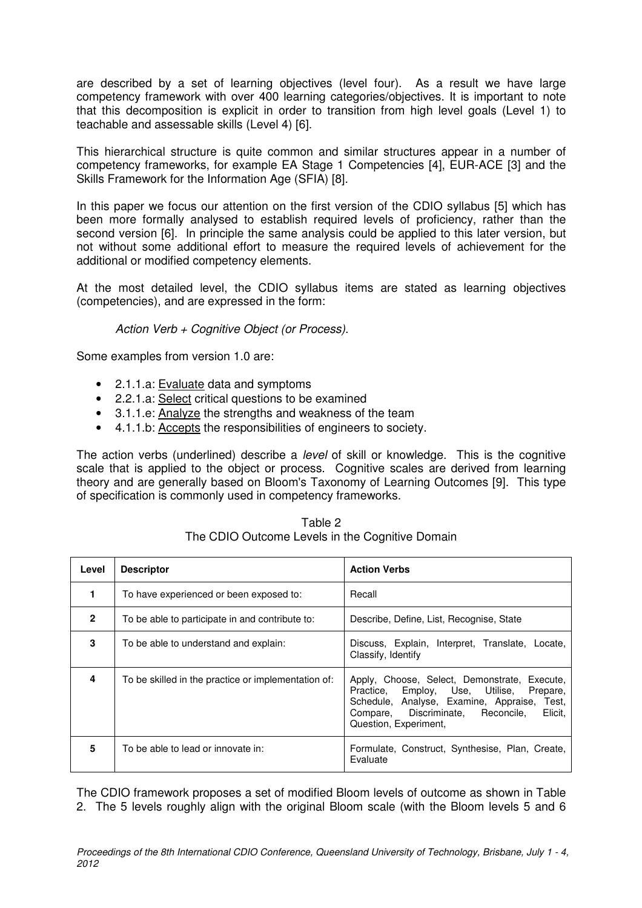are described by a set of learning objectives (level four). As a result we have large competency framework with over 400 learning categories/objectives. It is important to note that this decomposition is explicit in order to transition from high level goals (Level 1) to teachable and assessable skills (Level 4) [6].

This hierarchical structure is quite common and similar structures appear in a number of competency frameworks, for example EA Stage 1 Competencies [4], EUR-ACE [3] and the Skills Framework for the Information Age (SFIA) [8].

In this paper we focus our attention on the first version of the CDIO syllabus [5] which has been more formally analysed to establish required levels of proficiency, rather than the second version [6]. In principle the same analysis could be applied to this later version, but not without some additional effort to measure the required levels of achievement for the additional or modified competency elements.

At the most detailed level, the CDIO syllabus items are stated as learning objectives (competencies), and are expressed in the form:

# Action Verb + Cognitive Object (or Process).

Some examples from version 1.0 are:

- 2.1.1.a: Evaluate data and symptoms
- 2.2.1.a: Select critical questions to be examined
- 3.1.1.e: Analyze the strengths and weakness of the team
- 4.1.1.b: Accepts the responsibilities of engineers to society.

The action verbs (underlined) describe a level of skill or knowledge. This is the cognitive scale that is applied to the object or process. Cognitive scales are derived from learning theory and are generally based on Bloom's Taxonomy of Learning Outcomes [9]. This type of specification is commonly used in competency frameworks.

| Level        | <b>Descriptor</b>                                   | <b>Action Verbs</b>                                                                                                                                                                                                    |
|--------------|-----------------------------------------------------|------------------------------------------------------------------------------------------------------------------------------------------------------------------------------------------------------------------------|
| 1            | To have experienced or been exposed to:             | Recall                                                                                                                                                                                                                 |
| $\mathbf{2}$ | To be able to participate in and contribute to:     | Describe, Define, List, Recognise, State                                                                                                                                                                               |
| 3            | To be able to understand and explain:               | Discuss, Explain, Interpret, Translate, Locate,<br>Classify, Identify                                                                                                                                                  |
| 4            | To be skilled in the practice or implementation of: | Apply, Choose, Select, Demonstrate, Execute,<br>Practice, Employ, Use, Utilise, Prepare,<br>Schedule, Analyse, Examine, Appraise,<br>Test,<br>Compare, Discriminate,<br>Elicit,<br>Reconcile,<br>Question, Experiment, |
| 5            | To be able to lead or innovate in:                  | Formulate, Construct, Synthesise, Plan, Create,<br>Evaluate                                                                                                                                                            |

Table 2 The CDIO Outcome Levels in the Cognitive Domain

The CDIO framework proposes a set of modified Bloom levels of outcome as shown in Table 2. The 5 levels roughly align with the original Bloom scale (with the Bloom levels 5 and 6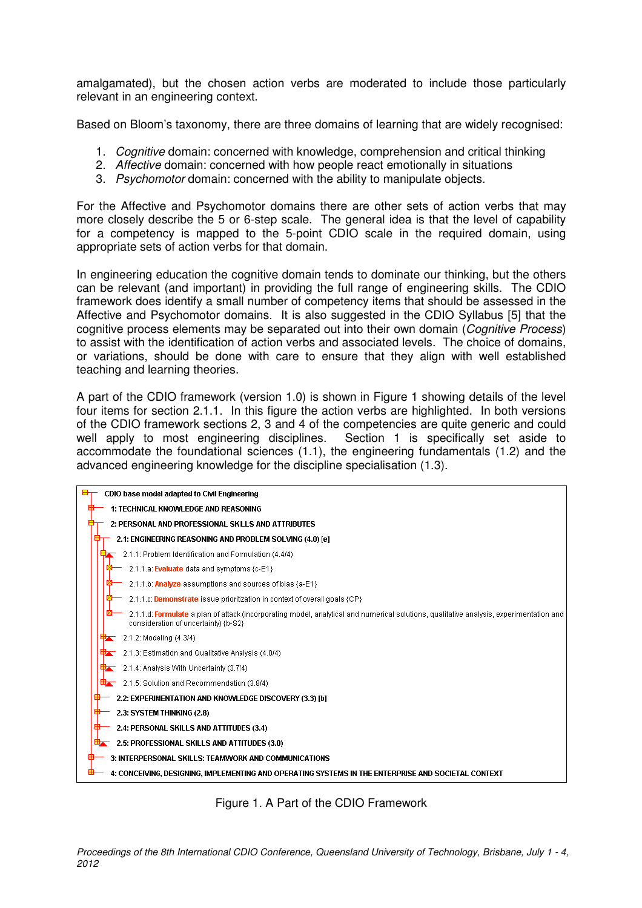amalgamated), but the chosen action verbs are moderated to include those particularly relevant in an engineering context.

Based on Bloom's taxonomy, there are three domains of learning that are widely recognised:

- 1. Cognitive domain: concerned with knowledge, comprehension and critical thinking
- 2. Affective domain: concerned with how people react emotionally in situations
- 3. Psychomotor domain: concerned with the ability to manipulate objects.

For the Affective and Psychomotor domains there are other sets of action verbs that may more closely describe the 5 or 6-step scale. The general idea is that the level of capability for a competency is mapped to the 5-point CDIO scale in the required domain, using appropriate sets of action verbs for that domain.

In engineering education the cognitive domain tends to dominate our thinking, but the others can be relevant (and important) in providing the full range of engineering skills. The CDIO framework does identify a small number of competency items that should be assessed in the Affective and Psychomotor domains. It is also suggested in the CDIO Syllabus [5] that the cognitive process elements may be separated out into their own domain (Cognitive Process) to assist with the identification of action verbs and associated levels. The choice of domains, or variations, should be done with care to ensure that they align with well established teaching and learning theories.

A part of the CDIO framework (version 1.0) is shown in Figure 1 showing details of the level four items for section 2.1.1. In this figure the action verbs are highlighted. In both versions of the CDIO framework sections 2, 3 and 4 of the competencies are quite generic and could well apply to most engineering disciplines. Section 1 is specifically set aside to accommodate the foundational sciences (1.1), the engineering fundamentals (1.2) and the advanced engineering knowledge for the discipline specialisation (1.3).

Figure 1. A Part of the CDIO Framework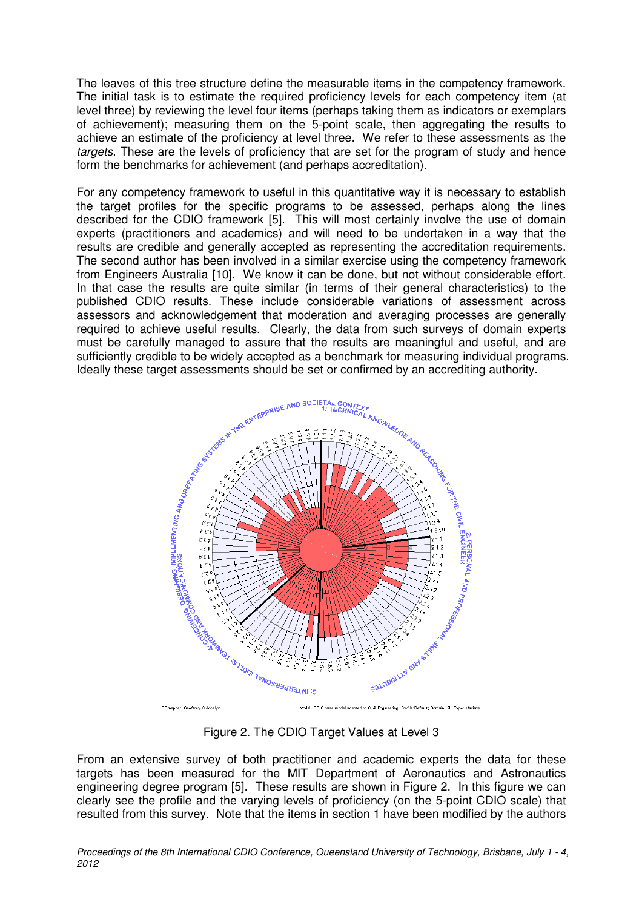The leaves of this tree structure define the measurable items in the competency framework. The initial task is to estimate the required proficiency levels for each competency item (at level three) by reviewing the level four items (perhaps taking them as indicators or exemplars of achievement); measuring them on the 5-point scale, then aggregating the results to achieve an estimate of the proficiency at level three. We refer to these assessments as the targets. These are the levels of proficiency that are set for the program of study and hence form the benchmarks for achievement (and perhaps accreditation).

For any competency framework to useful in this quantitative way it is necessary to establish the target profiles for the specific programs to be assessed, perhaps along the lines described for the CDIO framework [5]. This will most certainly involve the use of domain experts (practitioners and academics) and will need to be undertaken in a way that the results are credible and generally accepted as representing the accreditation requirements. The second author has been involved in a similar exercise using the competency framework from Engineers Australia [10]. We know it can be done, but not without considerable effort. In that case the results are quite similar (in terms of their general characteristics) to the published CDIO results. These include considerable variations of assessment across assessors and acknowledgement that moderation and averaging processes are generally required to achieve useful results. Clearly, the data from such surveys of domain experts must be carefully managed to assure that the results are meaningful and useful, and are sufficiently credible to be widely accepted as a benchmark for measuring individual programs. Ideally these target assessments should be set or confirmed by an accrediting authority.



Figure 2. The CDIO Target Values at Level 3

From an extensive survey of both practitioner and academic experts the data for these targets has been measured for the MIT Department of Aeronautics and Astronautics engineering degree program [5]. These results are shown in Figure 2. In this figure we can clearly see the profile and the varying levels of proficiency (on the 5-point CDIO scale) that resulted from this survey. Note that the items in section 1 have been modified by the authors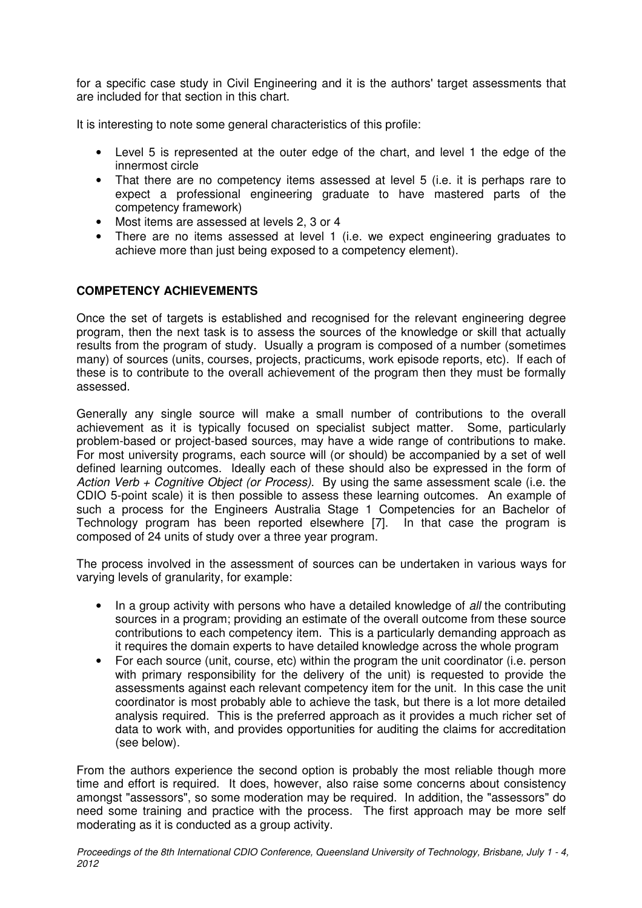for a specific case study in Civil Engineering and it is the authors' target assessments that are included for that section in this chart.

It is interesting to note some general characteristics of this profile:

- Level 5 is represented at the outer edge of the chart, and level 1 the edge of the innermost circle
- That there are no competency items assessed at level 5 (i.e. it is perhaps rare to expect a professional engineering graduate to have mastered parts of the competency framework)
- Most items are assessed at levels 2, 3 or 4
- There are no items assessed at level 1 (i.e. we expect engineering graduates to achieve more than just being exposed to a competency element).

# **COMPETENCY ACHIEVEMENTS**

Once the set of targets is established and recognised for the relevant engineering degree program, then the next task is to assess the sources of the knowledge or skill that actually results from the program of study. Usually a program is composed of a number (sometimes many) of sources (units, courses, projects, practicums, work episode reports, etc). If each of these is to contribute to the overall achievement of the program then they must be formally assessed.

Generally any single source will make a small number of contributions to the overall achievement as it is typically focused on specialist subject matter. Some, particularly problem-based or project-based sources, may have a wide range of contributions to make. For most university programs, each source will (or should) be accompanied by a set of well defined learning outcomes. Ideally each of these should also be expressed in the form of Action Verb  $+$  Cognitive Object (or Process). By using the same assessment scale (i.e. the CDIO 5-point scale) it is then possible to assess these learning outcomes. An example of such a process for the Engineers Australia Stage 1 Competencies for an Bachelor of Technology program has been reported elsewhere [7]. In that case the program is composed of 24 units of study over a three year program.

The process involved in the assessment of sources can be undertaken in various ways for varying levels of granularity, for example:

- In a group activity with persons who have a detailed knowledge of all the contributing sources in a program; providing an estimate of the overall outcome from these source contributions to each competency item. This is a particularly demanding approach as it requires the domain experts to have detailed knowledge across the whole program
- For each source (unit, course, etc) within the program the unit coordinator (i.e. person with primary responsibility for the delivery of the unit) is requested to provide the assessments against each relevant competency item for the unit. In this case the unit coordinator is most probably able to achieve the task, but there is a lot more detailed analysis required. This is the preferred approach as it provides a much richer set of data to work with, and provides opportunities for auditing the claims for accreditation (see below).

From the authors experience the second option is probably the most reliable though more time and effort is required. It does, however, also raise some concerns about consistency amongst "assessors", so some moderation may be required. In addition, the "assessors" do need some training and practice with the process. The first approach may be more self moderating as it is conducted as a group activity.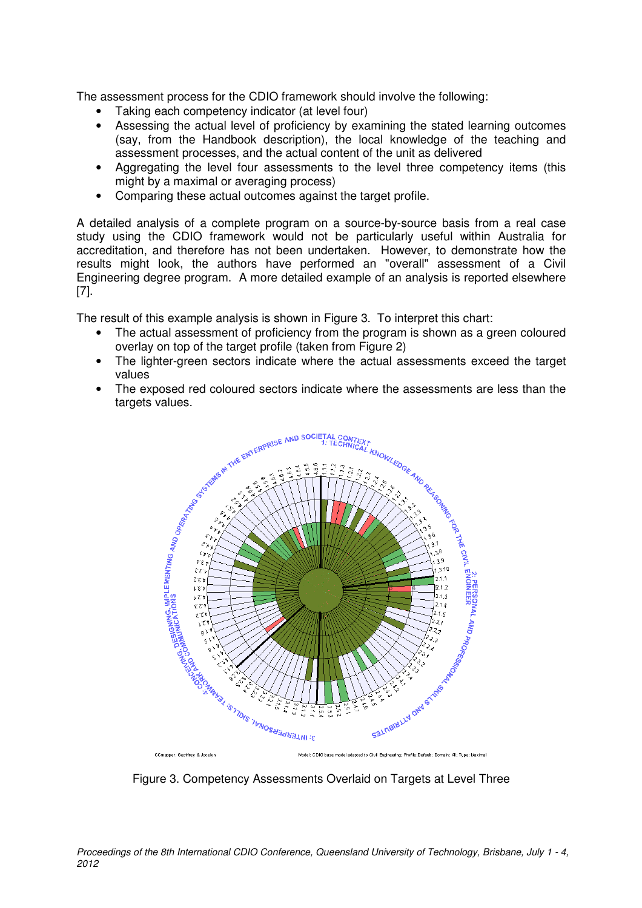The assessment process for the CDIO framework should involve the following:

- Taking each competency indicator (at level four)
- Assessing the actual level of proficiency by examining the stated learning outcomes (say, from the Handbook description), the local knowledge of the teaching and assessment processes, and the actual content of the unit as delivered
- Aggregating the level four assessments to the level three competency items (this might by a maximal or averaging process)
- Comparing these actual outcomes against the target profile.

A detailed analysis of a complete program on a source-by-source basis from a real case study using the CDIO framework would not be particularly useful within Australia for accreditation, and therefore has not been undertaken. However, to demonstrate how the results might look, the authors have performed an "overall" assessment of a Civil Engineering degree program. A more detailed example of an analysis is reported elsewhere [7].

The result of this example analysis is shown in Figure 3. To interpret this chart:

- The actual assessment of proficiency from the program is shown as a green coloured overlay on top of the target profile (taken from Figure 2)
- The lighter-green sectors indicate where the actual assessments exceed the target values
- The exposed red coloured sectors indicate where the assessments are less than the



Figure 3. Competency Assessments Overlaid on Targets at Level Three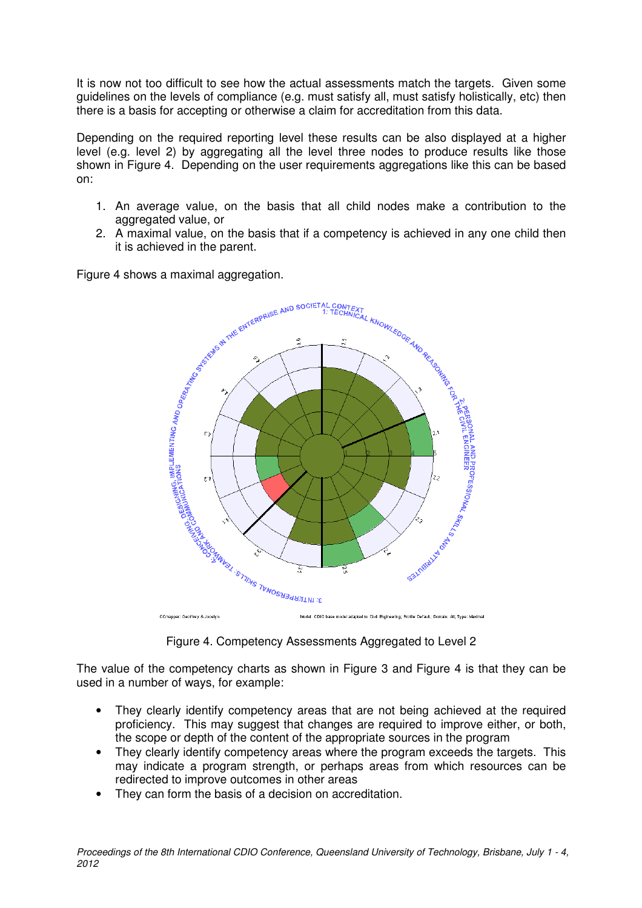It is now not too difficult to see how the actual assessments match the targets. Given some guidelines on the levels of compliance (e.g. must satisfy all, must satisfy holistically, etc) then there is a basis for accepting or otherwise a claim for accreditation from this data.

Depending on the required reporting level these results can be also displayed at a higher level (e.g. level 2) by aggregating all the level three nodes to produce results like those shown in Figure 4. Depending on the user requirements aggregations like this can be based on:

- 1. An average value, on the basis that all child nodes make a contribution to the aggregated value, or
- it is achieved in the parent.

Figure 4 shows a maximal aggregation.



Figure 4. Competency Assessments Aggregated to Level 2

The value of the competency charts as shown in Figure 3 and Figure 4 is that they can be used in a number of ways, for example:

- They clearly identify competency areas that are not being achieved at the required proficiency. This may suggest that changes are required to improve either, or both, the scope or depth of the content of the appropriate sources in the program
- They clearly identify competency areas where the program exceeds the targets. This may indicate a program strength, or perhaps areas from which resources can be redirected to improve outcomes in other areas
- They can form the basis of a decision on accreditation.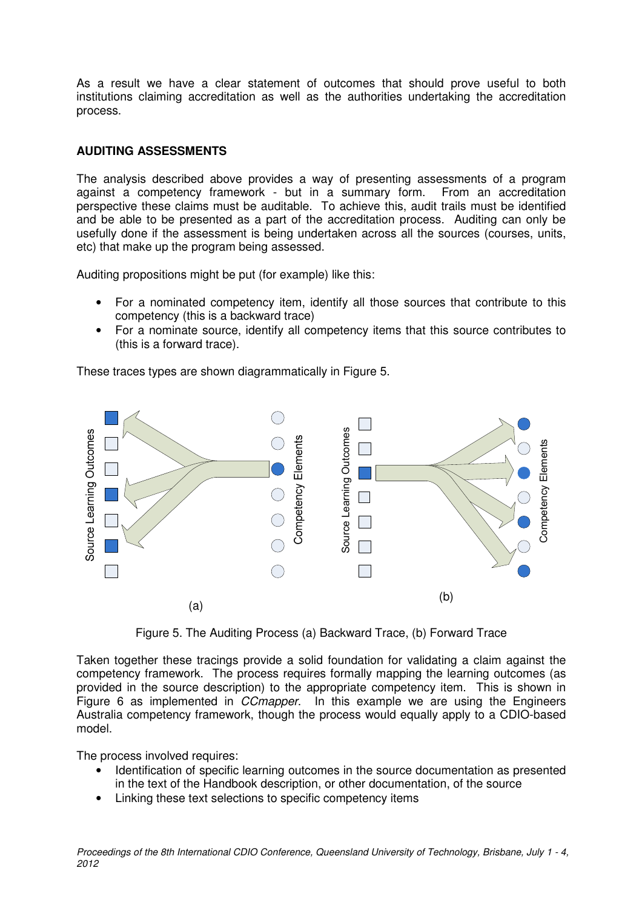As a result we have a clear statement of outcomes that should prove useful to both institutions claiming accreditation as well as the authorities undertaking the accreditation process.

# **AUDITING ASSESSMENTS**

The analysis described above provides a way of presenting assessments of a program against a competency framework - but in a summary form. From an accreditation perspective these claims must be auditable. To achieve this, audit trails must be identified and be able to be presented as a part of the accreditation process. Auditing can only be usefully done if the assessment is being undertaken across all the sources (courses, units, etc) that make up the program being assessed.

Auditing propositions might be put (for example) like this:

- For a nominated competency item, identify all those sources that contribute to this competency (this is a backward trace)
- For a nominate source, identify all competency items that this source contributes to (this is a forward trace).

These traces types are shown diagrammatically in Figure 5.



Figure 5. The Auditing Process (a) Backward Trace, (b) Forward Trace

Taken together these tracings provide a solid foundation for validating a claim against the competency framework. The process requires formally mapping the learning outcomes (as provided in the source description) to the appropriate competency item. This is shown in Figure 6 as implemented in *CCmapper*. In this example we are using the Engineers Australia competency framework, though the process would equally apply to a CDIO-based model.

The process involved requires:

- Identification of specific learning outcomes in the source documentation as presented in the text of the Handbook description, or other documentation, of the source
- Linking these text selections to specific competency items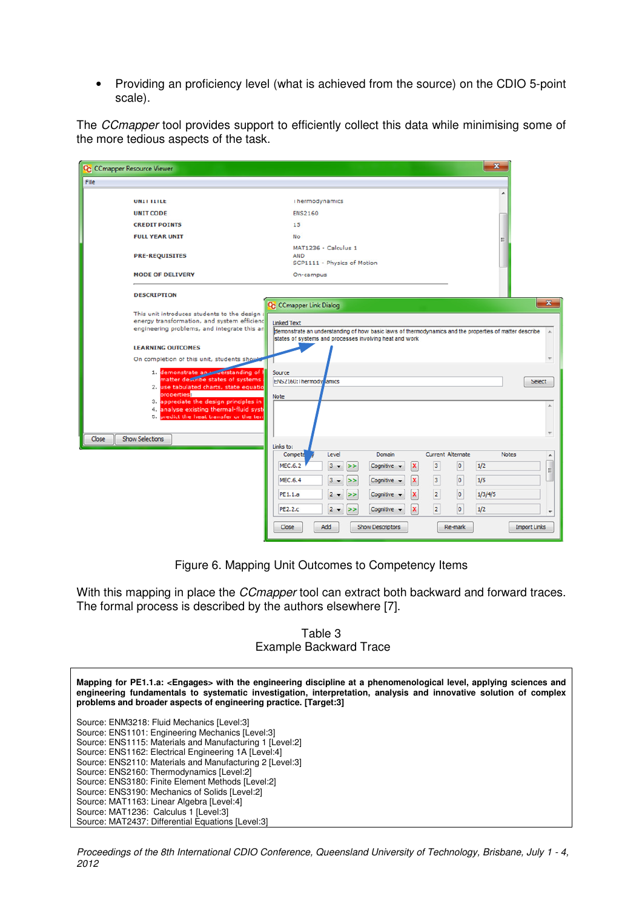• Providing an proficiency level (what is achieved from the source) on the CDIO 5-point scale).

The *CCmapper* tool provides support to efficiently collect this data while minimising some of the more tedious aspects of the task.

| C CCmapper Resource Viewer                                                                                                                                                                                                                                                                                                                                                                                                                                                                                                  |                                                                                                                                                                                                                                                                             |                         |                            | $\mathbf{x}$        |  |  |  |  |  |  |
|-----------------------------------------------------------------------------------------------------------------------------------------------------------------------------------------------------------------------------------------------------------------------------------------------------------------------------------------------------------------------------------------------------------------------------------------------------------------------------------------------------------------------------|-----------------------------------------------------------------------------------------------------------------------------------------------------------------------------------------------------------------------------------------------------------------------------|-------------------------|----------------------------|---------------------|--|--|--|--|--|--|
| File                                                                                                                                                                                                                                                                                                                                                                                                                                                                                                                        |                                                                                                                                                                                                                                                                             |                         |                            |                     |  |  |  |  |  |  |
| <b>UNIT TITLE</b><br><b>UNIT CODE</b><br><b>CREDIT POINTS</b><br><b>FULL YEAR UNIT</b><br><b>PRE-REQUISITES</b>                                                                                                                                                                                                                                                                                                                                                                                                             | Thermodynamics<br><b>ENS2160</b><br>15<br><b>No</b><br>MAT1236 - Calculus 1<br><b>AND</b>                                                                                                                                                                                   | ▴<br>Ξ                  |                            |                     |  |  |  |  |  |  |
| <b>MODE OF DELIVERY</b>                                                                                                                                                                                                                                                                                                                                                                                                                                                                                                     | SCP1111 - Physics of Motion<br>On-campus                                                                                                                                                                                                                                    |                         |                            |                     |  |  |  |  |  |  |
| <b>DESCRIPTION</b>                                                                                                                                                                                                                                                                                                                                                                                                                                                                                                          |                                                                                                                                                                                                                                                                             |                         |                            |                     |  |  |  |  |  |  |
| This unit introduces students to the design<br>energy transformation, and system efficienc<br>engineering problems, and integrate this ar<br><b>LEARNING OUTCOMES</b><br>On completion of this unit, students should<br>1. demonstrate an understanding of l<br>matter describe states of systems<br>2. use tabulated charts, state equatio<br>properties<br>8. appreciate the design principles in<br>4. analyse existing thermal-fluid syst<br>5. predict the heat transfer or the tem<br><b>Show Selections</b><br>Close | C <sub>C</sub> CCmapper Link Dialog<br><b>Linked Text</b><br>Bemonstrate an understanding of how basic laws of thermodynamics and the properties of matter describe<br>states of systems and processes involving heat and work<br>Source<br>ENS2160: Thermody amics<br>Note |                         |                            |                     |  |  |  |  |  |  |
|                                                                                                                                                                                                                                                                                                                                                                                                                                                                                                                             | Links to:<br>Compete<br>Level                                                                                                                                                                                                                                               | Domain                  | <b>Current Alternate</b>   | <b>Notes</b>        |  |  |  |  |  |  |
|                                                                                                                                                                                                                                                                                                                                                                                                                                                                                                                             | <b>MEC.6.2</b><br>3<br>>>                                                                                                                                                                                                                                                   | X<br>Cognitive -        | 3<br>O<br>1/2              | ▲                   |  |  |  |  |  |  |
|                                                                                                                                                                                                                                                                                                                                                                                                                                                                                                                             | <b>MEC.6.4</b><br>з                                                                                                                                                                                                                                                         | X<br>Cognitive -        | 0<br>$\vert$ 3<br>1/5      | Ξ                   |  |  |  |  |  |  |
|                                                                                                                                                                                                                                                                                                                                                                                                                                                                                                                             | PE1.1.a                                                                                                                                                                                                                                                                     | X<br>Cognitive -        | $\overline{2}$<br>o        | 1/3/4/5             |  |  |  |  |  |  |
|                                                                                                                                                                                                                                                                                                                                                                                                                                                                                                                             | PE2.2.c<br>$\overline{2}$<br>>>                                                                                                                                                                                                                                             | X<br>Cognitive -        | $\overline{2}$<br>o<br>1/2 |                     |  |  |  |  |  |  |
|                                                                                                                                                                                                                                                                                                                                                                                                                                                                                                                             | Close<br>Add                                                                                                                                                                                                                                                                | <b>Show Descriptors</b> | Re-mark                    | <b>Import Links</b> |  |  |  |  |  |  |

Figure 6. Mapping Unit Outcomes to Competency Items

With this mapping in place the *CCmapper* tool can extract both backward and forward traces. The formal process is described by the authors elsewhere [7].

# Table 3 Example Backward Trace

**Mapping for PE1.1.a: <Engages> with the engineering discipline at a phenomenological level, applying sciences and engineering fundamentals to systematic investigation, interpretation, analysis and innovative solution of complex problems and broader aspects of engineering practice. [Target:3]**  Source: ENM3218: Fluid Mechanics [Level:3] Source: ENS1101: Engineering Mechanics [Level:3] Source: ENS1115: Materials and Manufacturing 1 [Level:2] Source: ENS1162: Electrical Engineering 1A [Level:4] Source: ENS2110: Materials and Manufacturing 2 [Level:3] Source: ENS2160: Thermodynamics [Level:2] Source: ENS3180: Finite Element Methods [Level:2] Source: ENS3190: Mechanics of Solids [Level:2] Source: MAT1163: Linear Algebra [Level:4] Source: MAT1236: Calculus 1 [Level:3]

Source: MAT2437: Differential Equations [Level:3]

Proceedings of the 8th International CDIO Conference, Queensland University of Technology, Brisbane, July 1 - 4, 2012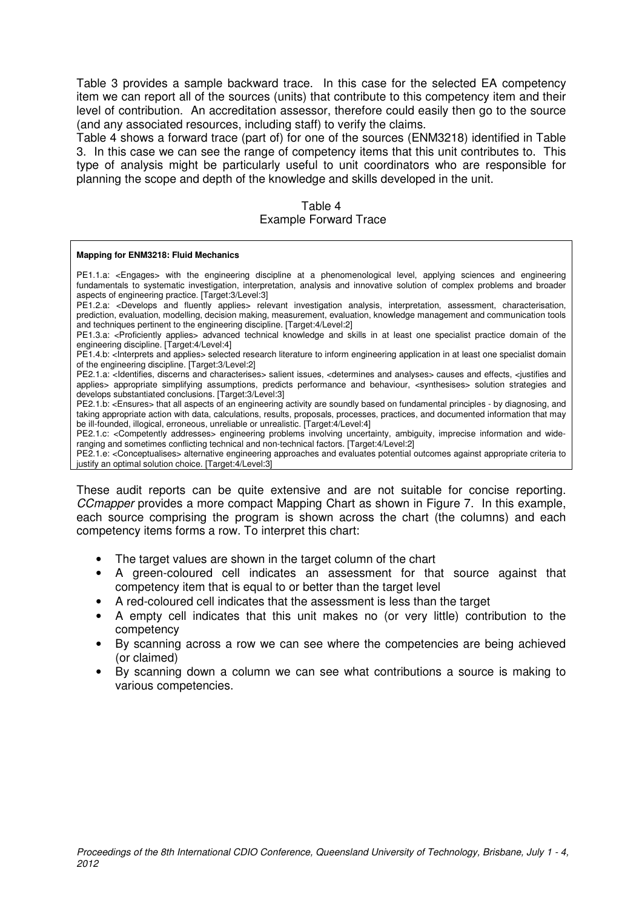Table 3 provides a sample backward trace. In this case for the selected EA competency item we can report all of the sources (units) that contribute to this competency item and their level of contribution. An accreditation assessor, therefore could easily then go to the source (and any associated resources, including staff) to verify the claims.

Table 4 shows a forward trace (part of) for one of the sources (ENM3218) identified in Table 3. In this case we can see the range of competency items that this unit contributes to. This type of analysis might be particularly useful to unit coordinators who are responsible for planning the scope and depth of the knowledge and skills developed in the unit.

#### Table 4 Example Forward Trace

| <b>Mapping for ENM3218: Fluid Mechanics</b>                                                                                                                                                                                                                                                                                                                                                    |
|------------------------------------------------------------------------------------------------------------------------------------------------------------------------------------------------------------------------------------------------------------------------------------------------------------------------------------------------------------------------------------------------|
| PE1.1.a: <engages> with the engineering discipline at a phenomenological level, applying sciences and engineering<br/>fundamentals to systematic investigation, interpretation, analysis and innovative solution of complex problems and broader<br/>aspects of engineering practice. [Target:3/Level:3]</engages>                                                                             |
| PE1.2.a: <develops and="" applies="" fluently=""> relevant investigation analysis, interpretation, assessment, characterisation,<br/>prediction, evaluation, modelling, decision making, measurement, evaluation, knowledge management and communication tools<br/>and techniques pertinent to the engineering discipline. [Target:4/Level:2]</develops>                                       |
| PE1.3.a: <proficiently applies=""> advanced technical knowledge and skills in at least one specialist practice domain of the<br/>engineering discipline. [Target:4/Level:4]</proficiently>                                                                                                                                                                                                     |
| PE1.4.b: < Interprets and applies> selected research literature to inform engineering application in at least one specialist domain<br>of the engineering discipline. [Target: 3/Level: 2]                                                                                                                                                                                                     |
| PE2.1.a: <ddentifies, and="" characterises="" discerns=""> salient issues, <determines analyses="" and=""> causes and effects, <justifies and<br="">applies&gt; appropriate simplifying assumptions, predicts performance and behaviour, <synthesises> solution strategies and<br/>develops substantiated conclusions. [Target:3/Level:3]</synthesises></justifies></determines></ddentifies,> |
| PE2.1.b: <ensures> that all aspects of an engineering activity are soundly based on fundamental principles - by diagnosing, and<br/>taking appropriate action with data, calculations, results, proposals, processes, practices, and documented information that may<br/>be ill-founded, illogical, erroneous, unreliable or unrealistic. [Target:4/Level:4]</ensures>                         |
| PE2.1.c: <competently addresses=""> engineering problems involving uncertainty, ambiguity, imprecise information and wide-<br/>ranging and sometimes conflicting technical and non-technical factors. [Target:4/Level:2]</competently>                                                                                                                                                         |
| PE2.1.e: <conceptualises> alternative engineering approaches and evaluates potential outcomes against appropriate criteria to<br/>justify an optimal solution choice. [Target:4/Level:3]</conceptualises>                                                                                                                                                                                      |
|                                                                                                                                                                                                                                                                                                                                                                                                |

These audit reports can be quite extensive and are not suitable for concise reporting. CCmapper provides a more compact Mapping Chart as shown in Figure 7. In this example, each source comprising the program is shown across the chart (the columns) and each competency items forms a row. To interpret this chart:

- The target values are shown in the target column of the chart
- A green-coloured cell indicates an assessment for that source against that competency item that is equal to or better than the target level
- A red-coloured cell indicates that the assessment is less than the target
- A empty cell indicates that this unit makes no (or very little) contribution to the competency
- By scanning across a row we can see where the competencies are being achieved (or claimed)
- By scanning down a column we can see what contributions a source is making to various competencies.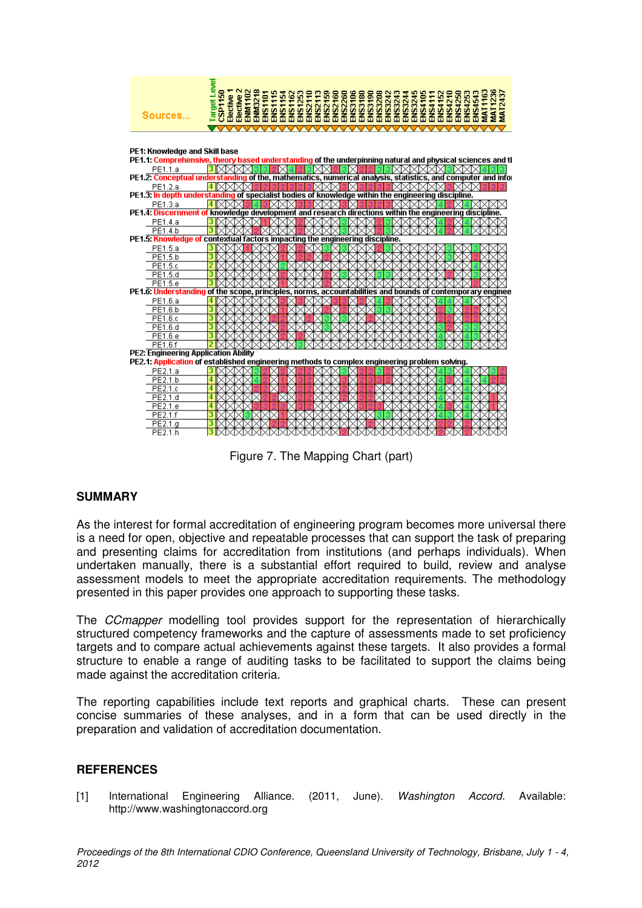|                                                                                                           | arget Level |                     |          |               |                          |        |                                                                                  |       |       |       |                  |                |         |                    |         |        |        |                |        |                 |       |                                              |                  |         |                                                                                      |
|-----------------------------------------------------------------------------------------------------------|-------------|---------------------|----------|---------------|--------------------------|--------|----------------------------------------------------------------------------------|-------|-------|-------|------------------|----------------|---------|--------------------|---------|--------|--------|----------------|--------|-----------------|-------|----------------------------------------------|------------------|---------|--------------------------------------------------------------------------------------|
| Sources                                                                                                   |             | CSP1150<br>Elective | Elective | <b>ENM110</b> | <b>ENM3218</b><br>ENS110 | ENS111 | ENS11<br>ENS1                                                                    | ENS12 | ENS21 | ENS21 | ENS2160<br>ENS21 | <b>ENS2260</b> | ENS3106 | ENS3180<br>ENS3190 | ENS3208 | ENS324 | ENS324 | ENS32<br>ENS32 | ENS410 | ENS415<br>ENS41 | ENS42 | ENS425                                       | ENS425<br>ENS454 | MAT1163 | MAT2437<br><b>MAT123</b>                                                             |
|                                                                                                           |             |                     |          |               |                          |        |                                                                                  |       |       |       |                  |                |         |                    |         |        |        |                |        |                 |       |                                              |                  |         |                                                                                      |
|                                                                                                           |             |                     |          |               |                          |        |                                                                                  |       |       |       |                  |                |         |                    |         |        |        |                |        |                 |       |                                              |                  |         |                                                                                      |
| PE1: Knowledge and Skill base                                                                             |             |                     |          |               |                          |        |                                                                                  |       |       |       |                  |                |         |                    |         |        |        |                |        |                 |       |                                              |                  |         |                                                                                      |
| PE1.1: Comprehensive, theory based understanding of the underpinning natural and physical sciences and tl |             |                     |          |               |                          |        |                                                                                  |       |       |       |                  |                |         |                    |         |        |        |                |        |                 |       |                                              |                  |         |                                                                                      |
| PE1.1.a                                                                                                   |             |                     |          |               |                          |        |                                                                                  |       |       |       |                  |                |         |                    |         |        |        |                |        |                 |       |                                              |                  |         |                                                                                      |
| <b>PE1.2: Conceptual under</b>                                                                            |             |                     |          |               |                          |        |                                                                                  |       |       |       |                  |                |         |                    |         |        |        |                |        |                 |       |                                              |                  |         | of the, mathematics, numerical analysis, statistics, and computer and infor          |
| PE1.2.a                                                                                                   |             |                     |          |               |                          |        |                                                                                  |       |       |       |                  |                |         |                    |         |        |        |                |        |                 |       |                                              |                  |         |                                                                                      |
| PE1.3: In depth under                                                                                     |             |                     |          |               |                          |        | of specialist bodies of                                                          |       |       |       |                  |                |         |                    |         |        |        |                |        |                 |       | knowledge within the engineering discipline. |                  |         |                                                                                      |
| PE1.3.a<br>PE1.4: Discernment of                                                                          |             |                     |          |               |                          |        | knowledge development and research directions within the engineering discipline. |       |       |       |                  |                |         |                    |         |        |        |                |        |                 |       |                                              |                  |         |                                                                                      |
| PE1.4.a                                                                                                   |             |                     |          |               |                          |        |                                                                                  |       |       |       |                  |                |         |                    |         |        |        |                |        |                 |       |                                              |                  |         |                                                                                      |
| PE1.4.b                                                                                                   |             |                     |          |               |                          |        |                                                                                  |       |       |       |                  |                |         |                    |         |        |        |                |        |                 |       |                                              |                  |         |                                                                                      |
| PE1.5: Knowledge of contextual factors impacting the engineering discipline.                              |             |                     |          |               |                          |        |                                                                                  |       |       |       |                  |                |         |                    |         |        |        |                |        |                 |       |                                              |                  |         |                                                                                      |
| PE1.5.a                                                                                                   |             |                     |          |               |                          |        |                                                                                  |       |       |       |                  |                |         |                    |         |        |        |                |        |                 |       |                                              |                  |         |                                                                                      |
| PE1.5.b                                                                                                   | 3           |                     |          |               |                          |        |                                                                                  |       |       |       |                  |                |         |                    |         |        |        |                |        |                 |       |                                              |                  |         |                                                                                      |
| PE1.5.c                                                                                                   |             |                     |          |               |                          |        |                                                                                  |       |       |       |                  |                |         |                    |         |        |        |                |        |                 |       |                                              |                  |         |                                                                                      |
| PE1.5.d                                                                                                   | 3           |                     |          |               |                          |        |                                                                                  |       |       |       |                  |                |         |                    |         |        |        |                |        |                 |       |                                              |                  |         |                                                                                      |
| PE1.5.e                                                                                                   |             |                     |          |               |                          |        |                                                                                  |       |       |       |                  |                |         |                    |         |        |        |                |        |                 |       |                                              |                  |         |                                                                                      |
| PE1.6: Understanding                                                                                      |             |                     |          |               |                          |        |                                                                                  |       |       |       |                  |                |         |                    |         |        |        |                |        |                 |       |                                              |                  |         | of the scope, principles, norms, accountabilities and bounds of contemporary enginee |
| PE1.6.a<br>PE1.6.b                                                                                        | 3           |                     |          |               |                          |        |                                                                                  |       |       |       |                  |                |         |                    |         |        |        |                |        |                 |       |                                              |                  |         |                                                                                      |
| PE1.6.c                                                                                                   | 3           |                     |          |               |                          |        |                                                                                  |       |       |       |                  |                |         |                    |         |        |        |                |        |                 |       |                                              |                  |         |                                                                                      |
| PE1.6.d                                                                                                   | 3           |                     |          |               |                          |        |                                                                                  |       |       |       |                  |                |         |                    |         |        |        |                |        |                 |       |                                              |                  |         |                                                                                      |
| PE1.6.e                                                                                                   | 3           |                     |          |               |                          |        |                                                                                  |       |       |       |                  |                |         |                    |         |        |        |                |        |                 |       |                                              |                  |         |                                                                                      |
| PE1.6.f                                                                                                   |             |                     |          |               |                          |        |                                                                                  |       |       |       |                  |                |         |                    |         |        |        |                |        |                 |       |                                              |                  |         |                                                                                      |
| <b>PE2: Engineering Application Ability</b>                                                               |             |                     |          |               |                          |        |                                                                                  |       |       |       |                  |                |         |                    |         |        |        |                |        |                 |       |                                              |                  |         |                                                                                      |
| PE2.1: Application of established engineering methods to complex engineering problem solving.             |             |                     |          |               |                          |        |                                                                                  |       |       |       |                  |                |         |                    |         |        |        |                |        |                 |       |                                              |                  |         |                                                                                      |
| PE2.1.a                                                                                                   |             |                     |          |               |                          |        |                                                                                  |       |       |       |                  |                |         |                    |         |        |        |                |        |                 |       |                                              |                  |         |                                                                                      |
| PE2.1.b                                                                                                   |             |                     |          |               |                          |        |                                                                                  |       |       |       |                  |                |         |                    |         |        |        |                |        |                 |       |                                              |                  |         |                                                                                      |
| PE2.1.c                                                                                                   | 4           |                     |          |               |                          |        |                                                                                  |       |       |       |                  |                |         |                    |         |        |        |                |        |                 |       |                                              |                  |         |                                                                                      |
| PE2.1.d<br>PE2.1.e                                                                                        |             |                     |          |               |                          |        |                                                                                  |       |       |       |                  |                |         |                    |         |        |        |                |        |                 |       |                                              |                  |         |                                                                                      |
| PE2.1.f                                                                                                   | 3           |                     |          |               |                          |        |                                                                                  |       |       |       |                  |                |         |                    |         |        |        |                |        |                 |       |                                              |                  |         |                                                                                      |
| PE2.1.a                                                                                                   |             |                     |          |               |                          |        |                                                                                  |       |       |       |                  |                |         |                    |         |        |        |                |        |                 |       |                                              |                  |         |                                                                                      |
| PE2.1.h                                                                                                   |             |                     |          |               |                          |        |                                                                                  |       |       |       |                  |                |         |                    |         |        |        |                |        |                 |       |                                              |                  |         |                                                                                      |

Figure 7. The Mapping Chart (part)

# **SUMMARY**

As the interest for formal accreditation of engineering program becomes more universal there is a need for open, objective and repeatable processes that can support the task of preparing and presenting claims for accreditation from institutions (and perhaps individuals). When undertaken manually, there is a substantial effort required to build, review and analyse assessment models to meet the appropriate accreditation requirements. The methodology presented in this paper provides one approach to supporting these tasks.

The *CCmapper* modelling tool provides support for the representation of hierarchically structured competency frameworks and the capture of assessments made to set proficiency targets and to compare actual achievements against these targets. It also provides a formal structure to enable a range of auditing tasks to be facilitated to support the claims being made against the accreditation criteria.

The reporting capabilities include text reports and graphical charts. These can present concise summaries of these analyses, and in a form that can be used directly in the preparation and validation of accreditation documentation.

### **REFERENCES**

[1] International Engineering Alliance. (2011, June). Washington Accord. Available: http://www.washingtonaccord.org